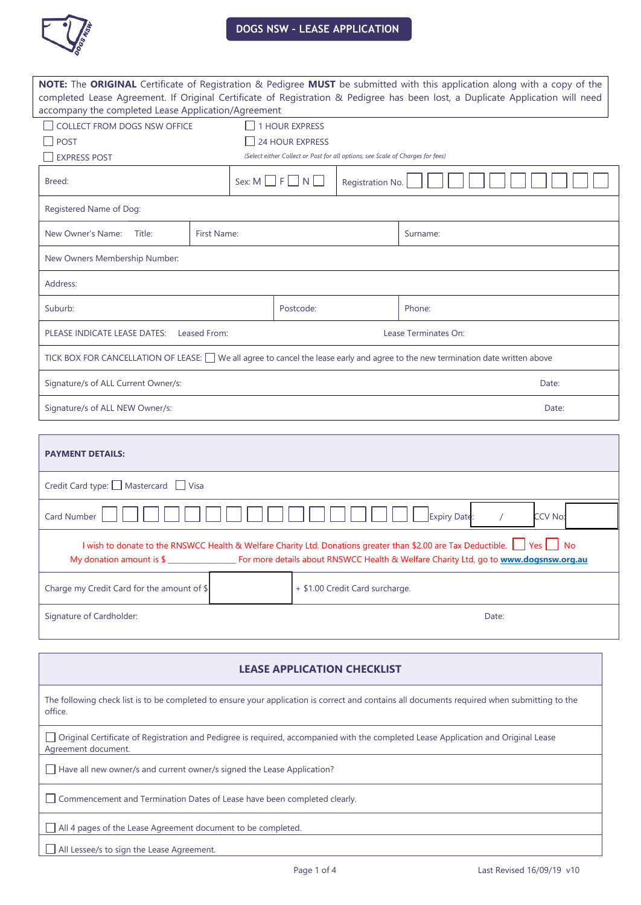

| NOTE: The ORIGINAL Certificate of Registration & Pedigree MUST be submitted with this application along with a copy of the<br>completed Lease Agreement. If Original Certificate of Registration & Pedigree has been lost, a Duplicate Application will need |             |                                                          |                                 |                                                                                |          |  |  |
|--------------------------------------------------------------------------------------------------------------------------------------------------------------------------------------------------------------------------------------------------------------|-------------|----------------------------------------------------------|---------------------------------|--------------------------------------------------------------------------------|----------|--|--|
| accompany the completed Lease Application/Agreement                                                                                                                                                                                                          |             |                                                          |                                 |                                                                                |          |  |  |
| COLLECT FROM DOGS NSW OFFICE                                                                                                                                                                                                                                 |             |                                                          | <b>1 HOUR EXPRESS</b>           |                                                                                |          |  |  |
| <b>POST</b>                                                                                                                                                                                                                                                  |             |                                                          | <b>24 HOUR EXPRESS</b>          |                                                                                |          |  |  |
| <b>EXPRESS POST</b>                                                                                                                                                                                                                                          |             |                                                          |                                 | (Select either Collect or Post for all options, see Scale of Charges for fees) |          |  |  |
| Breed:                                                                                                                                                                                                                                                       |             | Sex: $M \square F \square N \square$<br>Registration No. |                                 |                                                                                |          |  |  |
| Registered Name of Dog:                                                                                                                                                                                                                                      |             |                                                          |                                 |                                                                                |          |  |  |
| New Owner's Name:<br>Title:                                                                                                                                                                                                                                  | First Name: |                                                          |                                 |                                                                                | Surname: |  |  |
| New Owners Membership Number:                                                                                                                                                                                                                                |             |                                                          |                                 |                                                                                |          |  |  |
| Address:                                                                                                                                                                                                                                                     |             |                                                          |                                 |                                                                                |          |  |  |
| Suburb:                                                                                                                                                                                                                                                      |             |                                                          | Postcode:                       |                                                                                | Phone:   |  |  |
| PLEASE INDICATE LEASE DATES:<br>Leased From:<br>Lease Terminates On:                                                                                                                                                                                         |             |                                                          |                                 |                                                                                |          |  |  |
| TICK BOX FOR CANCELLATION OF LEASE: □ We all agree to cancel the lease early and agree to the new termination date written above                                                                                                                             |             |                                                          |                                 |                                                                                |          |  |  |
| Signature/s of ALL Current Owner/s:<br>Date:                                                                                                                                                                                                                 |             |                                                          |                                 |                                                                                |          |  |  |
| Signature/s of ALL NEW Owner/s:<br>Date:                                                                                                                                                                                                                     |             |                                                          |                                 |                                                                                |          |  |  |
|                                                                                                                                                                                                                                                              |             |                                                          |                                 |                                                                                |          |  |  |
| <b>PAYMENT DETAILS:</b>                                                                                                                                                                                                                                      |             |                                                          |                                 |                                                                                |          |  |  |
| Credit Card type: Mastercard J Visa                                                                                                                                                                                                                          |             |                                                          |                                 |                                                                                |          |  |  |
| Expiry Date:<br>Card Number<br>CCV No:                                                                                                                                                                                                                       |             |                                                          |                                 |                                                                                |          |  |  |
| I wish to donate to the RNSWCC Health & Welfare Charity Ltd. Donations greater than \$2.00 are Tax Deductible.<br>Yes<br><b>No</b><br>My donation amount is \$<br>For more details about RNSWCC Health & Welfare Charity Ltd, go to www.dogsnsw.org.au       |             |                                                          |                                 |                                                                                |          |  |  |
| Charge my Credit Card for the amount of \$                                                                                                                                                                                                                   |             |                                                          | + \$1.00 Credit Card surcharge. |                                                                                |          |  |  |
| Signature of Cardholder:                                                                                                                                                                                                                                     |             |                                                          | Date:                           |                                                                                |          |  |  |
|                                                                                                                                                                                                                                                              |             |                                                          |                                 |                                                                                |          |  |  |
| <b>LEASE APPLICATION CHECKLIST</b>                                                                                                                                                                                                                           |             |                                                          |                                 |                                                                                |          |  |  |
| The following check list is to be completed to ensure your application is correct and contains all documents required when submitting to the<br>office.                                                                                                      |             |                                                          |                                 |                                                                                |          |  |  |
| Original Certificate of Registration and Pedigree is required, accompanied with the completed Lease Application and Original Lease<br>Agreement document.                                                                                                    |             |                                                          |                                 |                                                                                |          |  |  |
| Have all new owner/s and current owner/s signed the Lease Application?                                                                                                                                                                                       |             |                                                          |                                 |                                                                                |          |  |  |

Commencement and Termination Dates of Lease have been completed clearly.

All 4 pages of the Lease Agreement document to be completed.

All Lessee/s to sign the Lease Agreement.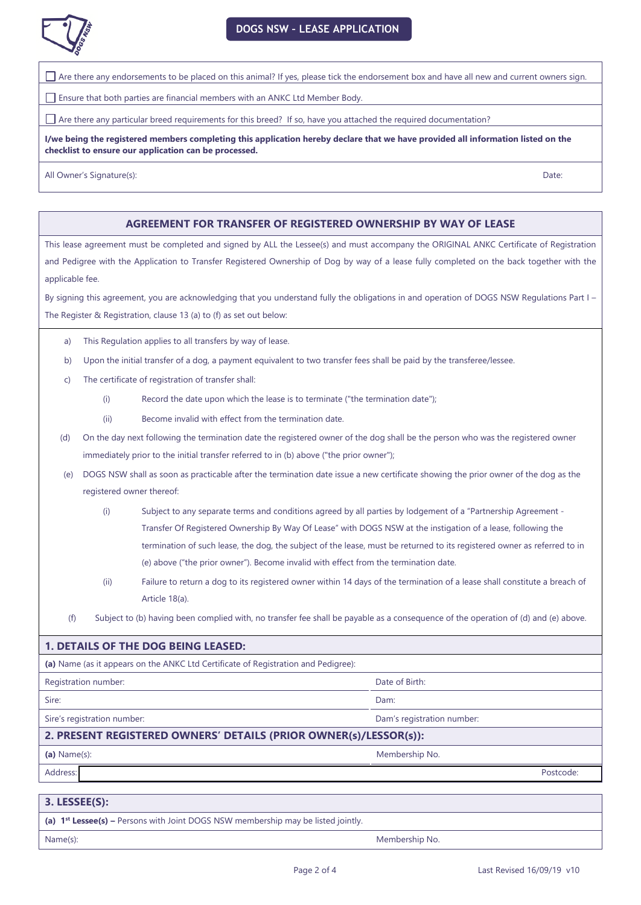

Are there any endorsements to be placed on this animal? If yes, please tick the endorsement box and have all new and current owners sign.

Ensure that both parties are financial members with an ANKC Ltd Member Body.

Are there any particular breed requirements for this breed? If so, have you attached the required documentation?

**I/we being the registered members completing this application hereby declare that we have provided all information listed on the checklist to ensure our application can be processed.** 

All Owner's Signature(s): Date:

### **AGREEMENT FOR TRANSFER OF REGISTERED OWNERSHIP BY WAY OF LEASE**

This lease agreement must be completed and signed by ALL the Lessee(s) and must accompany the ORIGINAL ANKC Certificate of Registration and Pedigree with the Application to Transfer Registered Ownership of Dog by way of a lease fully completed on the back together with the applicable fee.

By signing this agreement, you are acknowledging that you understand fully the obligations in and operation of DOGS NSW Regulations Part I – The Register & Registration, clause 13 (a) to (f) as set out below:

- a) This Regulation applies to all transfers by way of lease.
- b) Upon the initial transfer of a dog, a payment equivalent to two transfer fees shall be paid by the transferee/lessee.
- c) The certificate of registration of transfer shall:
	- (i) Record the date upon which the lease is to terminate ("the termination date");
	- (ii) Become invalid with effect from the termination date.
- (d) On the day next following the termination date the registered owner of the dog shall be the person who was the registered owner immediately prior to the initial transfer referred to in (b) above ("the prior owner");
- (e) DOGS NSW shall as soon as practicable after the termination date issue a new certificate showing the prior owner of the dog as the registered owner thereof:
	- (i) Subject to any separate terms and conditions agreed by all parties by lodgement of a "Partnership Agreement Transfer Of Registered Ownership By Way Of Lease" with DOGS NSW at the instigation of a lease, following the termination of such lease, the dog, the subject of the lease, must be returned to its registered owner as referred to in (e) above ("the prior owner"). Become invalid with effect from the termination date.
	- (ii) Failure to return a dog to its registered owner within 14 days of the termination of a lease shall constitute a breach of Article 18(a).
	- (f) Subject to (b) having been complied with, no transfer fee shall be payable as a consequence of the operation of (d) and (e) above.

## **1. DETAILS OF THE DOG BEING LEASED:**

**(a)** Name (as it appears on the ANKC Ltd Certificate of Registration and Pedigree):

**Registration number: Date of Birth:**  $\blacksquare$  Date of Birth:  $\blacksquare$ 

Sire: Dam:

Sire's registration number: **Dam's registration number:** Dam's registration number:

#### **2. PRESENT REGISTERED OWNERS' DETAILS (PRIOR OWNER(s)/LESSOR(s)):**

**(a)** Name(s): Membership No.

Address: Postcode:

#### **3. LESSEE(S):**

**(a) 1st Lessee(s) –** Persons with Joint DOGS NSW membership may be listed jointly.

Name(s): Membership No.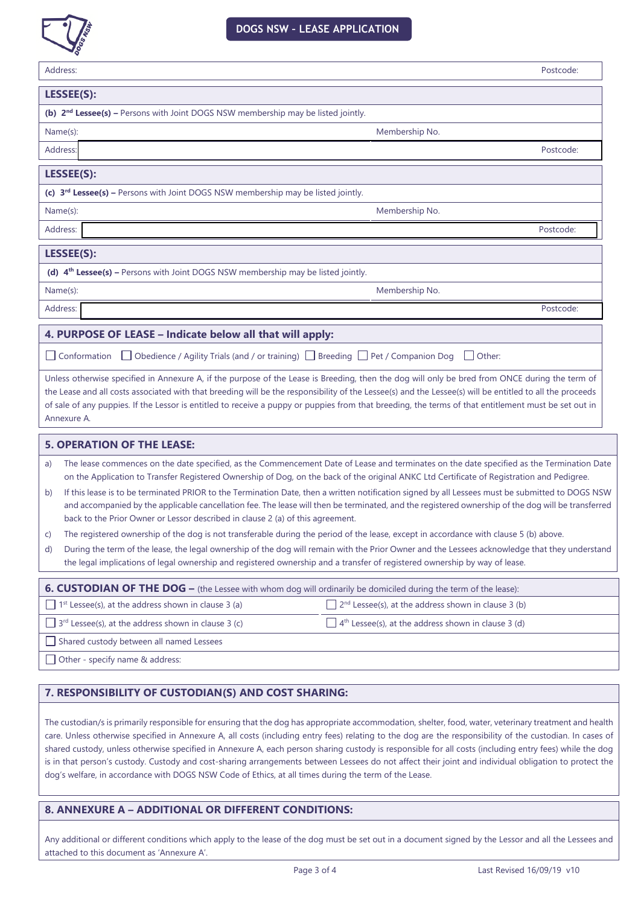

| Address:                                                                                                                                                                                                                                                                                                                                                                                                                                                                          |                                                                 | Postcode: |  |  |  |
|-----------------------------------------------------------------------------------------------------------------------------------------------------------------------------------------------------------------------------------------------------------------------------------------------------------------------------------------------------------------------------------------------------------------------------------------------------------------------------------|-----------------------------------------------------------------|-----------|--|--|--|
| LESSEE(S):                                                                                                                                                                                                                                                                                                                                                                                                                                                                        |                                                                 |           |  |  |  |
| (b) 2 <sup>nd</sup> Lessee(s) - Persons with Joint DOGS NSW membership may be listed jointly.                                                                                                                                                                                                                                                                                                                                                                                     |                                                                 |           |  |  |  |
| Name(s):                                                                                                                                                                                                                                                                                                                                                                                                                                                                          | Membership No.                                                  |           |  |  |  |
| Address:                                                                                                                                                                                                                                                                                                                                                                                                                                                                          |                                                                 | Postcode: |  |  |  |
| LESSEE(S):                                                                                                                                                                                                                                                                                                                                                                                                                                                                        |                                                                 |           |  |  |  |
| (c) 3 <sup>rd</sup> Lessee(s) - Persons with Joint DOGS NSW membership may be listed jointly.                                                                                                                                                                                                                                                                                                                                                                                     |                                                                 |           |  |  |  |
| Name(s):                                                                                                                                                                                                                                                                                                                                                                                                                                                                          | Membership No.                                                  |           |  |  |  |
| Address:                                                                                                                                                                                                                                                                                                                                                                                                                                                                          |                                                                 | Postcode: |  |  |  |
| LESSEE(S):                                                                                                                                                                                                                                                                                                                                                                                                                                                                        |                                                                 |           |  |  |  |
| (d) 4 <sup>th</sup> Lessee(s) - Persons with Joint DOGS NSW membership may be listed jointly.                                                                                                                                                                                                                                                                                                                                                                                     |                                                                 |           |  |  |  |
| Name(s):                                                                                                                                                                                                                                                                                                                                                                                                                                                                          | Membership No.                                                  |           |  |  |  |
| Address:                                                                                                                                                                                                                                                                                                                                                                                                                                                                          |                                                                 | Postcode: |  |  |  |
| 4. PURPOSE OF LEASE - Indicate below all that will apply:                                                                                                                                                                                                                                                                                                                                                                                                                         |                                                                 |           |  |  |  |
| □ Obedience / Agility Trials (and / or training) □ Breeding □ Pet / Companion Dog<br>$\Box$ Conformation<br>  Other:                                                                                                                                                                                                                                                                                                                                                              |                                                                 |           |  |  |  |
| Unless otherwise specified in Annexure A, if the purpose of the Lease is Breeding, then the dog will only be bred from ONCE during the term of<br>the Lease and all costs associated with that breeding will be the responsibility of the Lessee(s) and the Lessee(s) will be entitled to all the proceeds<br>of sale of any puppies. If the Lessor is entitled to receive a puppy or puppies from that breeding, the terms of that entitlement must be set out in<br>Annexure A. |                                                                 |           |  |  |  |
| <b>5. OPERATION OF THE LEASE:</b>                                                                                                                                                                                                                                                                                                                                                                                                                                                 |                                                                 |           |  |  |  |
| The lease commences on the date specified, as the Commencement Date of Lease and terminates on the date specified as the Termination Date<br>a)<br>on the Application to Transfer Registered Ownership of Dog, on the back of the original ANKC Ltd Certificate of Registration and Pedigree.<br>If this lease is to be terminated PRIOR to the Termination Date, then a written notification signed by all Lessees must be submitted to DOGS NSW<br>b)                           |                                                                 |           |  |  |  |
| and accompanied by the applicable cancellation fee. The lease will then be terminated, and the registered ownership of the dog will be transferred<br>back to the Prior Owner or Lessor described in clause 2 (a) of this agreement.                                                                                                                                                                                                                                              |                                                                 |           |  |  |  |
| The registered ownership of the dog is not transferable during the period of the lease, except in accordance with clause 5 (b) above.<br>C)                                                                                                                                                                                                                                                                                                                                       |                                                                 |           |  |  |  |
| During the term of the lease, the legal ownership of the dog will remain with the Prior Owner and the Lessees acknowledge that they understand<br>d)<br>the legal implications of legal ownership and registered ownership and a transfer of registered ownership by way of lease.                                                                                                                                                                                                |                                                                 |           |  |  |  |
| 6. CUSTODIAN OF THE DOG - (the Lessee with whom dog will ordinarily be domiciled during the term of the lease):                                                                                                                                                                                                                                                                                                                                                                   |                                                                 |           |  |  |  |
| 1 <sup>st</sup> Lessee(s), at the address shown in clause 3 (a)                                                                                                                                                                                                                                                                                                                                                                                                                   | $2nd$ Lessee(s), at the address shown in clause 3 (b)           |           |  |  |  |
| 3 <sup>rd</sup> Lessee(s), at the address shown in clause 3 (c)<br>$\Box$                                                                                                                                                                                                                                                                                                                                                                                                         | 4 <sup>th</sup> Lessee(s), at the address shown in clause 3 (d) |           |  |  |  |
| Shared custody between all named Lessees                                                                                                                                                                                                                                                                                                                                                                                                                                          |                                                                 |           |  |  |  |
| $\Box$ Other - specify name & address:                                                                                                                                                                                                                                                                                                                                                                                                                                            |                                                                 |           |  |  |  |

# **7. RESPONSIBILITY OF CUSTODIAN(S) AND COST SHARING:**

The custodian/s is primarily responsible for ensuring that the dog has appropriate accommodation, shelter, food, water, veterinary treatment and health care. Unless otherwise specified in Annexure A, all costs (including entry fees) relating to the dog are the responsibility of the custodian. In cases of shared custody, unless otherwise specified in Annexure A, each person sharing custody is responsible for all costs (including entry fees) while the dog is in that person's custody. Custody and cost-sharing arrangements between Lessees do not affect their joint and individual obligation to protect the dog's welfare, in accordance with DOGS NSW Code of Ethics, at all times during the term of the Lease.

# **8. ANNEXURE A – ADDITIONAL OR DIFFERENT CONDITIONS:**

Any additional or different conditions which apply to the lease of the dog must be set out in a document signed by the Lessor and all the Lessees and attached to this document as 'Annexure A'.